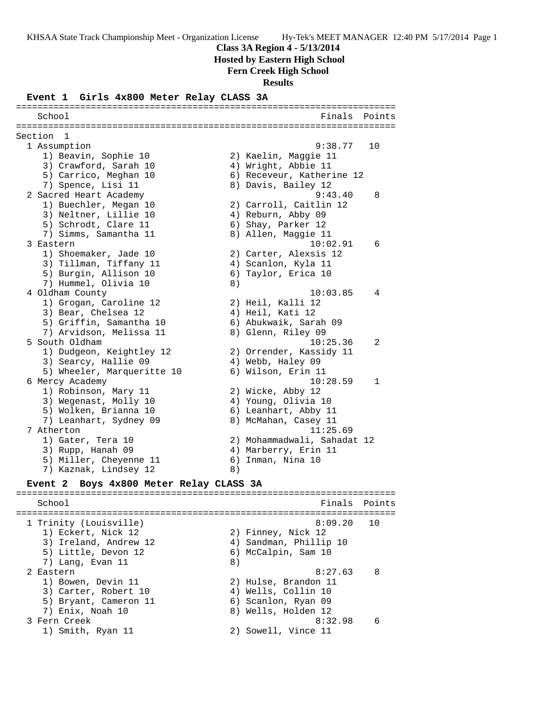#### **Class 3A Region 4 - 5/13/2014**

 **Hosted by Eastern High School**

#### **Fern Creek High School**

**Results**

#### **Event 1 Girls 4x800 Meter Relay CLASS 3A**

======================================================================= School **Finals** Points **Points** ======================================================================= Section 1 1 Assumption 9:38.77 10 1) Beavin, Sophie 10 2) Kaelin, Maggie 11 3) Crawford, Sarah 10  $\qquad \qquad$  4) Wright, Abbie 11 5) Carrico, Meghan 10 6) Receveur, Katherine 12 7) Spence, Lisi 11 8) Davis, Bailey 12 2 Sacred Heart Academy 9:43.40 8 1) Buechler, Megan 10 2) Carroll, Caitlin 12 3) Neltner, Lillie 10 (4) Reburn, Abby 09 5) Schrodt, Clare 11 6) Shay, Parker 12 7) Simms, Samantha 11 ann an 8) Allen, Maggie 11 3 Eastern 10:02.91 6 1) Shoemaker, Jade 10 2) Carter, Alexsis 12 3) Tillman, Tiffany 11 4) Scanlon, Kyla 11 5) Burgin, Allison 10 6) Taylor, Erica 10 7) Hummel, Olivia 10 8) 4 Oldham County 10:03.85 4 1) Grogan, Caroline 12 2) Heil, Kalli 12 3) Bear, Chelsea 12 (4) Heil, Kati 12 5) Griffin, Samantha 10 6) Abukwaik, Sarah 09 7) Arvidson, Melissa 11  $\hskip 1.3cm 8)$  Glenn, Riley 09 5 South Oldham 10:25.36 2 1) Dudgeon, Keightley 12 2) Orrender, Kassidy 11 3) Searcy, Hallie 09 4) Webb, Haley 09 5) Wheeler, Marqueritte 10  $\,$  6) Wilson, Erin 11 6 Mercy Academy 10:28.59 1 1) Robinson, Mary 11 2) Wicke, Abby 12 3) Wegenast, Molly 10 (4) Young, Olivia 10 5) Wolken, Brianna 10  $\hphantom{\text{424}}$  6) Leanhart, Abby 11 7) Leanhart, Sydney 09 8) McMahan, Casey 11 7 Atherton 11:25.69 1) Gater, Tera 10 2) Mohammadwali, Sahadat 12 3) Rupp, Hanah 09 4) Marberry, Erin 11 5) Miller, Cheyenne 11 (6) Inman, Nina 10 7) Kaznak, Lindsey 12 (8) **Event 2 Boys 4x800 Meter Relay CLASS 3A** ======================================================================= School **Finals** Points ======================================================================= 1 Trinity (Louisville) 8:09.20 10 1) Eckert, Nick 12 2) Finney, Nick 12 3) Ireland, Andrew 12 4) Sandman, Phillip 10 5) Little, Devon 12 6) McCalpin, Sam 10 7) Lang, Evan 11 8) 2 Eastern 8:27.63 8 1) Bowen, Devin 11 2) Hulse, Brandon 11 3) Carter, Robert 10 (4) Wells, Collin 10 5) Bryant, Cameron 11 (6) Scanlon, Ryan 09 7) Enix, Noah 10 8) Wells, Holden 12 3 Fern Creek 8:32.98 6 1) Smith, Ryan 11 2) Sowell, Vince 11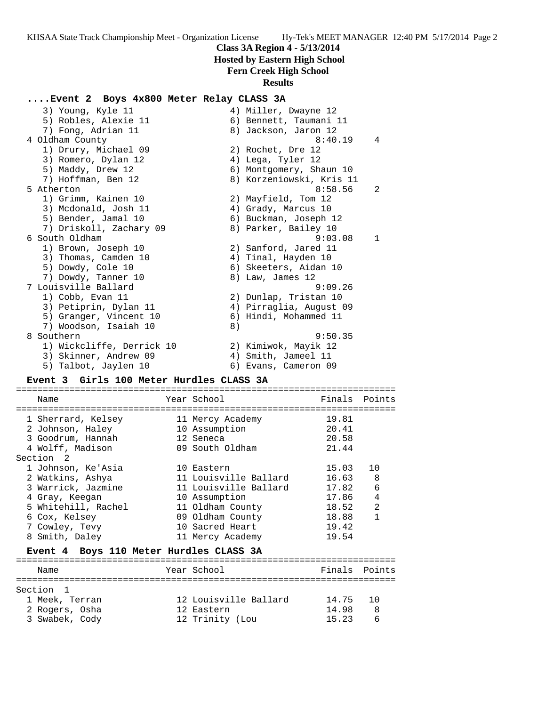## **Class 3A Region 4 - 5/13/2014**

 **Hosted by Eastern High School**

#### **Fern Creek High School**

#### **Results**

## **....Event 2 Boys 4x800 Meter Relay CLASS 3A**

| 3) Young, Kyle 11         |    | 4) Miller, Dwayne 12     |   |
|---------------------------|----|--------------------------|---|
| 5) Robles, Alexie 11      |    | 6) Bennett, Taumani 11   |   |
| 7) Fong, Adrian 11        |    | 8) Jackson, Jaron 12     |   |
| 4 Oldham County           |    | 8:40.19                  | 4 |
| 1) Drury, Michael 09      |    | 2) Rochet, Dre 12        |   |
| 3) Romero, Dylan 12       |    | 4) Lega, Tyler 12        |   |
| 5) Maddy, Drew 12         |    | 6) Montgomery, Shaun 10  |   |
| 7) Hoffman, Ben 12        |    | 8) Korzeniowski, Kris 11 |   |
| 5 Atherton                |    | 8:58.56                  | 2 |
| 1) Grimm, Kainen 10       |    | 2) Mayfield, Tom 12      |   |
| 3) Mcdonald, Josh 11      |    | 4) Grady, Marcus 10      |   |
| 5) Bender, Jamal 10       |    | 6) Buckman, Joseph 12    |   |
| 7) Driskoll, Zachary 09   |    | 8) Parker, Bailey 10     |   |
| 6 South Oldham            |    | 9:03.08                  | 1 |
| 1) Brown, Joseph 10       |    | 2) Sanford, Jared 11     |   |
| 3) Thomas, Camden 10      |    | 4) Tinal, Hayden 10      |   |
| 5) Dowdy, Cole 10         |    | 6) Skeeters, Aidan 10    |   |
| 7) Dowdy, Tanner 10       |    | 8) Law, James 12         |   |
| 7 Louisville Ballard      |    | 9:09.26                  |   |
| 1) Cobb, Evan 11          |    | 2) Dunlap, Tristan 10    |   |
| 3) Petiprin, Dylan 11     |    | 4) Pirraglia, August 09  |   |
| 5) Granger, Vincent 10    |    | 6) Hindi, Mohammed 11    |   |
| 7) Woodson, Isaiah 10     | 8) |                          |   |
| 8 Southern                |    | 9:50.35                  |   |
| 1) Wickcliffe, Derrick 10 |    | 2) Kimiwok, Mayik 12     |   |
| 3) Skinner, Andrew 09     |    | 4) Smith, Jameel 11      |   |
| 5) Talbot, Jaylen 10      |    | 6) Evans, Cameron 09     |   |

#### **Event 3 Girls 100 Meter Hurdles CLASS 3A**

======================================================================= Name The Year School Team Points Points ======================================================================= 1 Sherrard, Kelsey 11 Mercy Academy 19.81 2 Johnson, Haley 10 Assumption 20.41 3 Goodrum, Hannah 12 Seneca 20.58 4 Wolff, Madison 09 South Oldham 21.44 Section 2 1 Johnson, Ke'Asia 10 Eastern 15.03 10 2 Watkins, Ashya 11 Louisville Ballard 16.63 8 3 Warrick, Jazmine 11 Louisville Ballard 17.82 6 4 Gray, Keegan 10 Assumption 17.86 4 5 Whitehill, Rachel 11 Oldham County 18.52 2 6 Cox, Kelsey 09 Oldham County 18.88 1 7 Cowley, Tevy 10 Sacred Heart 19.42 8 Smith, Daley 11 Mercy Academy 19.54

#### **Event 4 Boys 110 Meter Hurdles CLASS 3A**

======================================================================= Name The Year School Team Points Points ======================================================================= Section 1 1 Meek, Terran 12 Louisville Ballard 14.75 10 2 Rogers, Osha 12 Eastern 14.98 8 3 Swabek, Cody 12 Trinity (Lou 15.23 6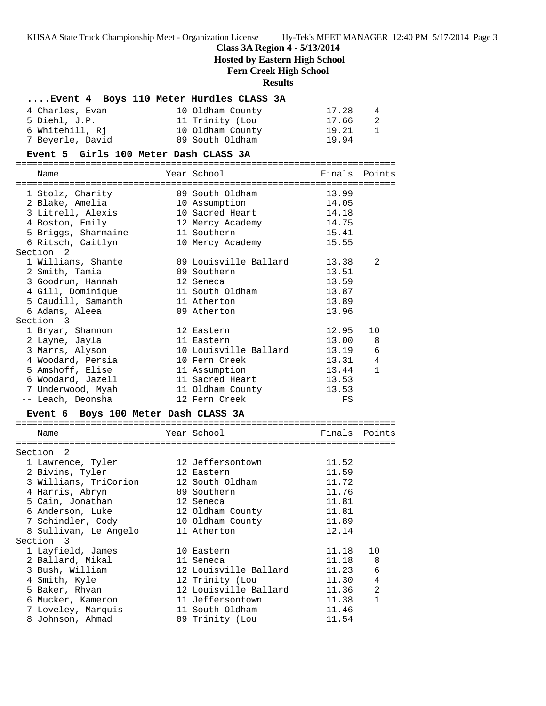# **Class 3A Region 4 - 5/13/2014**

 **Hosted by Eastern High School**

# **Fern Creek High School**

# **Results**

| Event 4 Boys 110 Meter Hurdles CLASS 3A |                       |               |                |
|-----------------------------------------|-----------------------|---------------|----------------|
| 4 Charles, Evan                         | 10 Oldham County      | 17.28         | 4              |
| 5 Diehl, J.P.                           | 11 Trinity (Lou       | 17.66         | 2              |
| 6 Whitehill, Rj                         | 10 Oldham County      | 19.21         | $\mathbf{1}$   |
| 7 Beyerle, David                        | 09 South Oldham       | 19.94         |                |
| Event 5 Girls 100 Meter Dash CLASS 3A   |                       |               |                |
| Name                                    | Year School           | Finals Points |                |
|                                         | 09 South Oldham       | 13.99         |                |
| 1 Stolz, Charity<br>2 Blake, Amelia     | 10 Assumption         | 14.05         |                |
| 3 Litrell, Alexis                       | 10 Sacred Heart       | 14.18         |                |
| 4 Boston, Emily                         | 12 Mercy Academy      | 14.75         |                |
| 5 Briggs, Sharmaine                     | 11 Southern           | 15.41         |                |
| 6 Ritsch, Caitlyn                       | 10 Mercy Academy      | 15.55         |                |
| Section <sub>2</sub>                    |                       |               |                |
| 1 Williams, Shante                      | 09 Louisville Ballard | 13.38         | 2              |
| 2 Smith, Tamia                          | 09 Southern           | 13.51         |                |
| 3 Goodrum, Hannah                       | 12 Seneca             | 13.59         |                |
| 4 Gill, Dominique                       | 11 South Oldham       | 13.87         |                |
| 5 Caudill, Samanth                      | 11 Atherton           | 13.89         |                |
| 6 Adams, Aleea                          | 09 Atherton           | 13.96         |                |
| Section 3                               |                       |               |                |
| 1 Bryar, Shannon                        | 12 Eastern            | 12.95         | 10             |
| 2 Layne, Jayla                          | 11 Eastern            | 13.00         | 8              |
| 3 Marrs, Alyson                         | 10 Louisville Ballard | 13.19         | 6              |
| 4 Woodard, Persia                       | 10 Fern Creek         | 13.31         | $\overline{4}$ |
| 5 Amshoff, Elise                        | 11 Assumption         | 13.44         | $\mathbf{1}$   |
| 6 Woodard, Jazell                       | 11 Sacred Heart       | 13.53         |                |
| 7 Underwood, Myah                       | 11 Oldham County      | 13.53         |                |
| -- Leach, Deonsha                       | 12 Fern Creek         | FS            |                |
| Event 6 Boys 100 Meter Dash CLASS 3A    |                       |               |                |
| Name                                    | Year School           | Finals Points |                |
| Section<br>2                            |                       |               |                |
| 1 Lawrence, Tyler                       | 12 Jeffersontown      | 11.52         |                |
| 2 Bivins, Tyler                         | 12 Eastern            | 11.59         |                |
| 3 Williams, TriCorion                   | 12 South Oldham       | 11.72         |                |
| 4 Harris, Abryn                         | 09 Southern           | 11.76         |                |
| 5 Cain, Jonathan                        | 12 Seneca             | 11.81         |                |
| 6 Anderson, Luke                        | 12 Oldham County      | 11.81         |                |
| 7 Schindler, Cody                       | 10 Oldham County      | 11.89         |                |
| 8 Sullivan, Le Angelo                   | 11 Atherton           | 12.14         |                |
| Section 3                               |                       |               |                |
| 1 Layfield, James                       | 10 Eastern            | 11.18         | 10             |
| 2 Ballard, Mikal                        | 11 Seneca             | 11.18         | 8              |
| 3 Bush, William                         | 12 Louisville Ballard | 11.23         | 6              |
| 4 Smith, Kyle                           | 12 Trinity (Lou       | 11.30         | 4              |
| 5 Baker, Rhyan                          | 12 Louisville Ballard | 11.36         | 2              |
| 6 Mucker, Kameron                       | 11 Jeffersontown      | 11.38         | 1              |
| 7 Loveley, Marquis                      | 11 South Oldham       | 11.46         |                |
| 8 Johnson, Ahmad                        | 09 Trinity (Lou       | 11.54         |                |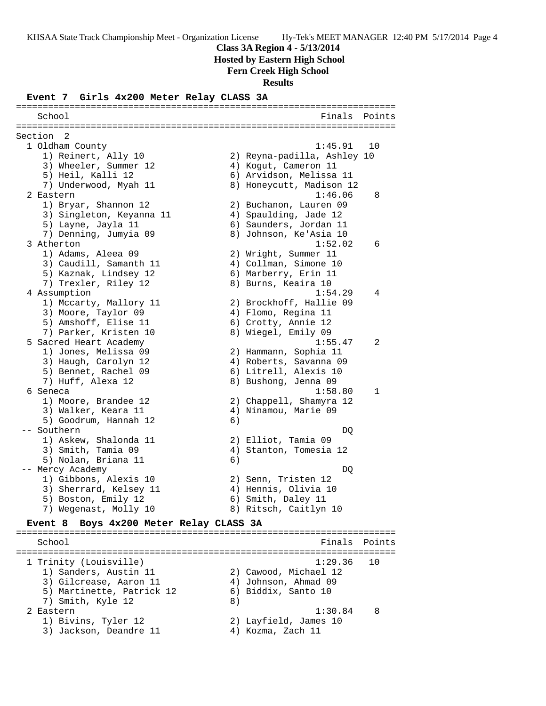**Class 3A Region 4 - 5/13/2014**

 **Hosted by Eastern High School**

**Fern Creek High School**

**Results**

#### **Event 7 Girls 4x200 Meter Relay CLASS 3A**

======================================================================= School **Finals** Points ======================================================================= Section 2 1 Oldham County 1:45.91 10 1) Reinert, Ally 10 2) Reyna-padilla, Ashley 10 3) Wheeler, Summer 12 (4) Kogut, Cameron 11 5) Heil, Kalli 12 6) Arvidson, Melissa 11 7) Underwood, Myah 11 8) Honeycutt, Madison 12 2 Eastern 1:46.06 8 1) Bryar, Shannon 12 2) Buchanon, Lauren 09 3) Singleton, Keyanna 11 4) Spaulding, Jade 12 5) Layne, Jayla 11 6) Saunders, Jordan 11 7) Denning, Jumyia 09 8) Johnson, Ke'Asia 10 3 Atherton 1:52.02 6 1) Adams, Aleea 09 2) Wright, Summer 11 3) Caudill, Samanth 11 4) Collman, Simone 10 5) Kaznak, Lindsey 12 6) Marberry, Erin 11 7) Trexler, Riley 12 8) Burns, Keaira 10 4 Assumption 1:54.29 4 1) Mccarty, Mallory 11 2) Brockhoff, Hallie 09 3) Moore, Taylor 09 4) Flomo, Regina 11 5) Amshoff, Elise 11 (6) Crotty, Annie 12 7) Parker, Kristen 10 8) Wiegel, Emily 09 5 Sacred Heart Academy 1:55.47 2 1) Jones, Melissa 09 2) Hammann, Sophia 11 3) Haugh, Carolyn 12 4) Roberts, Savanna 09 5) Bennet, Rachel 09 (6) Litrell, Alexis 10 7) Huff, Alexa 12 8) Bushong, Jenna 09 6 Seneca 1:58.80 1 1) Moore, Brandee 12 2) Chappell, Shamyra 12 3) Walker, Keara 11 (1988) 4) Ninamou, Marie 09 5) Goodrum, Hannah 12 (6) -- Southern DQ 1) Askew, Shalonda 11 2) Elliot, Tamia 09 3) Smith, Tamia 09 4) Stanton, Tomesia 12 5) Nolan, Briana 11 (6) -- Mercy Academy DQ 1) Gibbons, Alexis 10 2) Senn, Tristen 12 3) Sherrard, Kelsey 11  $\hskip1cm$  4) Hennis, Olivia 10 5) Boston, Emily 12 6) Smith, Daley 11 7) Wegenast, Molly 10 8) Ritsch, Caitlyn 10

#### **Event 8 Boys 4x200 Meter Relay CLASS 3A** =======================================================================

School **Finals Points** Points Points Points Points Points Points Points Points Points Points Points Points Points Points Points Points Points Points Points Points Points Points Points Points Points Points Points Points Poi ======================================================================= 1 Trinity (Louisville) 1:29.36 10 1) Sanders, Austin 11 2) Cawood, Michael 12 3) Gilcrease, Aaron 11 4) Johnson, Ahmad 09 5) Martinette, Patrick 12 6) Biddix, Santo 10 7) Smith, Kyle 12 8) 2 Eastern 1:30.84 8 1) Bivins, Tyler 12 2) Layfield, James 10 3) Jackson, Deandre 11  $\hskip10mm 4$ ) Kozma, Zach 11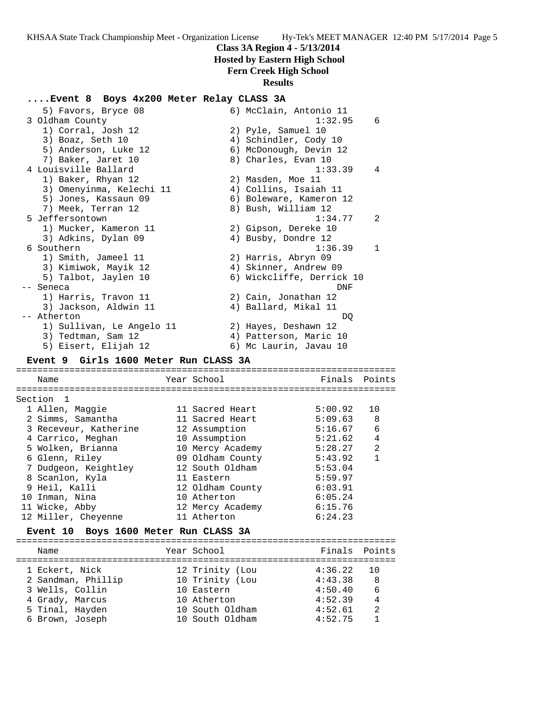## **Class 3A Region 4 - 5/13/2014**

 **Hosted by Eastern High School**

# **Fern Creek High School**

## **Results**

# **....Event 8 Boys 4x200 Meter Relay CLASS 3A**

| 5) Favors, Bryce 08<br>3 Oldham County |                 | 6) McClain, Antonio 11<br>1:32.95 | 6            |
|----------------------------------------|-----------------|-----------------------------------|--------------|
| 1) Corral, Josh 12                     |                 | 2) Pyle, Samuel 10                |              |
| 3) Boaz, Seth 10                       |                 | 4) Schindler, Cody 10             |              |
| 5) Anderson, Luke 12                   |                 | 6) McDonough, Devin 12            |              |
| 7) Baker, Jaret 10                     |                 | 8) Charles, Evan 10               |              |
| 4 Louisville Ballard                   |                 | 1:33.39                           | 4            |
| 1) Baker, Rhyan 12                     |                 | 2) Masden, Moe 11                 |              |
| 3) Omenyinma, Kelechi 11               |                 | 4) Collins, Isaiah 11             |              |
| 5) Jones, Kassaun 09                   |                 | 6) Boleware, Kameron 12           |              |
| 7) Meek, Terran 12                     |                 | 8) Bush, William 12               |              |
| 5 Jeffersontown                        |                 | 1:34.77                           | 2            |
| 1) Mucker, Kameron 11                  |                 | 2) Gipson, Dereke 10              |              |
| 3) Adkins, Dylan 09                    |                 | 4) Busby, Dondre 12               |              |
| 6 Southern                             |                 | 1:36.39                           | $\mathbf{1}$ |
| 1) Smith, Jameel 11                    |                 | 2) Harris, Abryn 09               |              |
| 3) Kimiwok, Mayik 12                   |                 | 4) Skinner, Andrew 09             |              |
| 5) Talbot, Jaylen 10                   |                 | 6) Wickcliffe, Derrick 10         |              |
| -- Seneca                              |                 | DNF                               |              |
| 1) Harris, Travon 11                   |                 | 2) Cain, Jonathan 12              |              |
| 3) Jackson, Aldwin 11                  |                 | 4) Ballard, Mikal 11              |              |
| -- Atherton                            |                 | DO                                |              |
| 1) Sullivan, Le Angelo 11              |                 | 2) Hayes, Deshawn 12              |              |
| 3) Tedtman, Sam 12                     |                 | 4) Patterson, Maric 10            |              |
| 5) Eisert, Elijah 12                   |                 | 6) Mc Laurin, Javau 10            |              |
| Event 9 Girls 1600 Meter Run CLASS 3A  |                 |                                   |              |
|                                        |                 |                                   |              |
| Name                                   | Year School     | Finals                            | Points       |
| Section 1                              |                 |                                   |              |
| 1 Allen, Maggie                        | 11 Sacred Heart | 5:00.92                           | 10           |
| 2 Simms, Samantha                      | 11 Sacred Heart | 5:09.63                           | - 8          |
|                                        |                 |                                   |              |

|  | 3 Receveur, Katherine | 12 Assumption    | 5:16.67 | 6              |
|--|-----------------------|------------------|---------|----------------|
|  | 4 Carrico, Meghan     | 10 Assumption    | 5:21.62 | 4              |
|  | 5 Wolken, Brianna     | 10 Mercy Academy | 5:28.27 | $\mathfrak{D}$ |
|  | 6 Glenn, Riley        | 09 Oldham County | 5:43.92 |                |
|  | 7 Dudgeon, Keightley  | 12 South Oldham  | 5:53.04 |                |
|  | 8 Scanlon, Kyla       | 11 Eastern       | 5:59.97 |                |
|  | 9 Heil, Kalli         | 12 Oldham County | 6:03.91 |                |
|  | 10 Inman, Nina        | 10 Atherton      | 6:05.24 |                |
|  | 11 Wicke, Abby        | 12 Mercy Academy | 6:15.76 |                |
|  | 12 Miller, Cheyenne   | 11 Atherton      | 6:24.23 |                |
|  |                       |                  |         |                |

#### **Event 10 Boys 1600 Meter Run CLASS 3A**

| Name                                                                                                             | Year School                                                                                           | Finals Points                                                  |                                              |
|------------------------------------------------------------------------------------------------------------------|-------------------------------------------------------------------------------------------------------|----------------------------------------------------------------|----------------------------------------------|
| 1 Eckert, Nick<br>2 Sandman, Phillip<br>3 Wells, Collin<br>4 Grady, Marcus<br>5 Tinal, Hayden<br>6 Brown, Joseph | 12 Trinity (Lou<br>10 Trinity (Lou<br>10 Eastern<br>10 Atherton<br>10 South Oldham<br>10 South Oldham | 4:36.22<br>4:43.38<br>4:50.40<br>4:52.39<br>4:52.61<br>4:52.75 | - 8<br>6<br>$\overline{4}$<br>$\mathfrak{D}$ |
|                                                                                                                  |                                                                                                       |                                                                |                                              |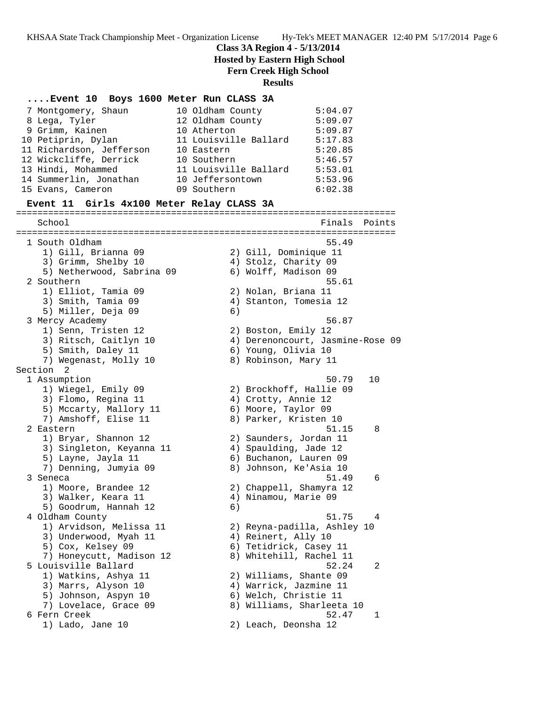**Class 3A Region 4 - 5/13/2014**

 **Hosted by Eastern High School**

## **Fern Creek High School Results ....Event 10 Boys 1600 Meter Run CLASS 3A** 7 Montgomery, Shaun 10 Oldham County 5:04.07 8 Lega, Tyler 12 Oldham County 5:09.07 9 Grimm, Kainen 10 Atherton 5:09.87 10 Petiprin, Dylan 11 Louisville Ballard 5:17.83 11 Richardson, Jefferson 10 Eastern 5:20.85 12 Wickcliffe, Derrick 10 Southern 5:46.57 13 Hindi, Mohammed 11 Louisville Ballard 5:53.01 14 Summerlin, Jonathan 10 Jeffersontown 5:53.96 15 Evans, Cameron 09 Southern 6:02.38 **Event 11 Girls 4x100 Meter Relay CLASS 3A** ======================================================================= School **Finals Points** Points Points Points Points Points Points Points Points Points Points Points Points Points Points Points Points Points Points Points Points Points Points Points Points Points Points Points Points Poi ======================================================================= 1 South Oldham 55.49 1) Gill, Brianna 09 2) Gill, Dominique 11 3) Grimm, Shelby 10 (4) Stolz, Charity 09 5) Netherwood, Sabrina 09 6) Wolff, Madison 09 2 Southern 55.61 1) Elliot, Tamia 09 2) Nolan, Briana 11 3) Smith, Tamia 09 4) Stanton, Tomesia 12 5) Miller, Deja 09 (6) 3 Mercy Academy 56.87 1) Senn, Tristen 12 2) Boston, Emily 12 3) Ritsch, Caitlyn 10 4) Derenoncourt, Jasmine-Rose 09 5) Smith, Daley 11 6) Young, Olivia 10 7) Wegenast, Molly 10  $\hphantom{\text{2.65}$  8) Robinson, Mary 11 Section 2<br>1 Assumption 1 Assumption 50.79 10 1) Wiegel, Emily 09 2) Brockhoff, Hallie 09 3) Flomo, Regina 11 (4) Crotty, Annie 12 5) Mccarty, Mallory 11 6) Moore, Taylor 09 7) Amshoff, Elise 11 8) Parker, Kristen 10 2 Eastern 51.15 8 1) Bryar, Shannon 12 2) Saunders, Jordan 11 3) Singleton, Keyanna 11 4) Spaulding, Jade 12 5) Layne, Jayla 11 6) Buchanon, Lauren 09 7) Denning, Jumyia 09 8) Johnson, Ke'Asia 10 3 Seneca 51.49 6 1) Moore, Brandee 12 2) Chappell, Shamyra 12 3) Walker, Keara 11  $\qquad \qquad \qquad$  4) Ninamou, Marie 09 5) Goodrum, Hannah 12 (6) 4 Oldham County 51.75 4 1) Arvidson, Melissa 11 2) Reyna-padilla, Ashley 10 3) Underwood, Myah 11  $\hphantom{\text{2.25} (a)} 4$ ) Reinert, Ally 10 5) Cox, Kelsey 09 6) Tetidrick, Casey 11 7) Honeycutt, Madison 12 8) Whitehill, Rachel 11 5 Louisville Ballard 52.24 2 1) Watkins, Ashya 11 2) Williams, Shante 09 3) Marrs, Alyson 10 4) Warrick, Jazmine 11

- 5) Johnson, Aspyn 10 6) Welch, Christie 11 7) Lovelace, Grace 09 8) Williams, Sharleeta 10
- 6 Fern Creek 52.47 1
	- 1) Lado, Jane 10 2) Leach, Deonsha 12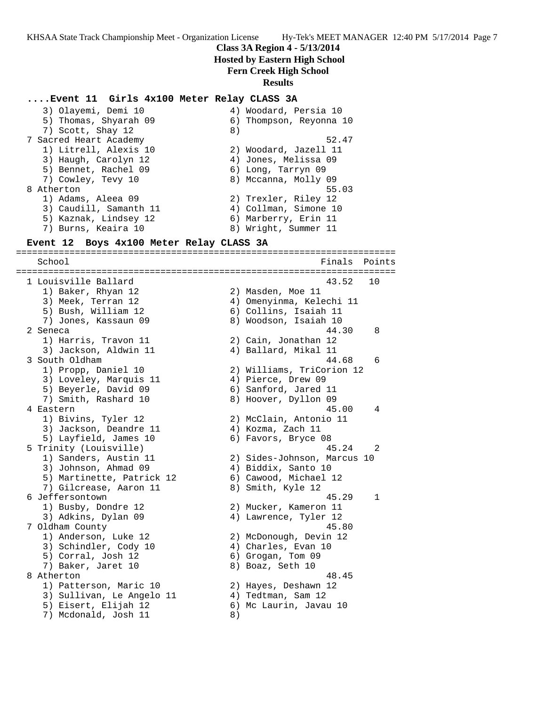#### **Class 3A Region 4 - 5/13/2014**

#### **Hosted by Eastern High School**

**Fern Creek High School**

#### **Results**

#### **....Event 11 Girls 4x100 Meter Relay CLASS 3A**

| 3) Olayemi, Demi 10    |    | 4) Woodard, Persia 10   |
|------------------------|----|-------------------------|
| 5) Thomas, Shyarah 09  |    | 6) Thompson, Reyonna 10 |
| 7) Scott, Shay 12      | 8) |                         |
| 7 Sacred Heart Academy |    | 52.47                   |
| 1) Litrell, Alexis 10  |    | 2) Woodard, Jazell 11   |
| 3) Haugh, Carolyn 12   |    | 4) Jones, Melissa 09    |
| 5) Bennet, Rachel 09   |    | 6) Long, Tarryn 09      |
| 7) Cowley, Tevy 10     |    | 8) Mccanna, Molly 09    |
| 8 Atherton             |    | 55.03                   |
| 1) Adams, Aleea 09     |    | 2) Trexler, Riley 12    |
| 3) Caudill, Samanth 11 |    | 4) Collman, Simone 10   |
| 5) Kaznak, Lindsey 12  |    | 6) Marberry, Erin 11    |
| 7) Burns, Keaira 10    |    | 8) Wright, Summer 11    |
|                        |    |                         |

#### **Event 12 Boys 4x100 Meter Relay CLASS 3A**

======================================================================= School **Finals Points** ======================================================================= 1 Louisville Ballard 43.52 10 1) Baker, Rhyan 12 2) Masden, Moe 11 3) Meek, Terran 12 4) Omenyinma, Kelechi 11 5) Bush, William 12 6) Collins, Isaiah 11 7) Jones, Kassaun 09 8) Woodson, Isaiah 10 2 Seneca 44.30 8 1) Harris, Travon 11 2) Cain, Jonathan 12 3) Jackson, Aldwin 11 (4) Ballard, Mikal 11 3 South Oldham 44.68 6 1) Propp, Daniel 10 2) Williams, TriCorion 12 3) Loveley, Marquis 11  $\qquad \qquad$  4) Pierce, Drew 09 5) Beyerle, David 09 6) Sanford, Jared 11 7) Smith, Rashard 10 8) Hoover, Dyllon 09 4 Eastern 45.00 4 1) Bivins, Tyler 12 2) McClain, Antonio 11 3) Jackson, Deandre 11  $\hskip10mm 4$ ) Kozma, Zach 11 5) Layfield, James 10 (6) Favors, Bryce 08 5 Trinity (Louisville) 45.24 2 1) Sanders, Austin 11 2) Sides-Johnson, Marcus 10 3) Johnson, Ahmad 09 (4) Biddix, Santo 10 5) Martinette, Patrick 12 6) Cawood, Michael 12 7) Gilcrease, Aaron 11 and 8) Smith, Kyle 12 6 Jeffersontown 45.29 1 1) Busby, Dondre 12 2) Mucker, Kameron 11 3) Adkins, Dylan 09 4) Lawrence, Tyler 12 7 Oldham County 45.80 1) Anderson, Luke 12 2) McDonough, Devin 12 3) Schindler, Cody 10 (4) Charles, Evan 10 5) Corral, Josh 12 6) Grogan, Tom 09 7) Baker, Jaret 10 8) Boaz, Seth 10 8 Atherton 48.45 1) Patterson, Maric 10 2) Hayes, Deshawn 12 3) Sullivan, Le Angelo 11  $\qquad \qquad$  4) Tedtman, Sam 12 5) Eisert, Elijah 12 6) Mc Laurin, Javau 10 7) Mcdonald, Josh 11 8)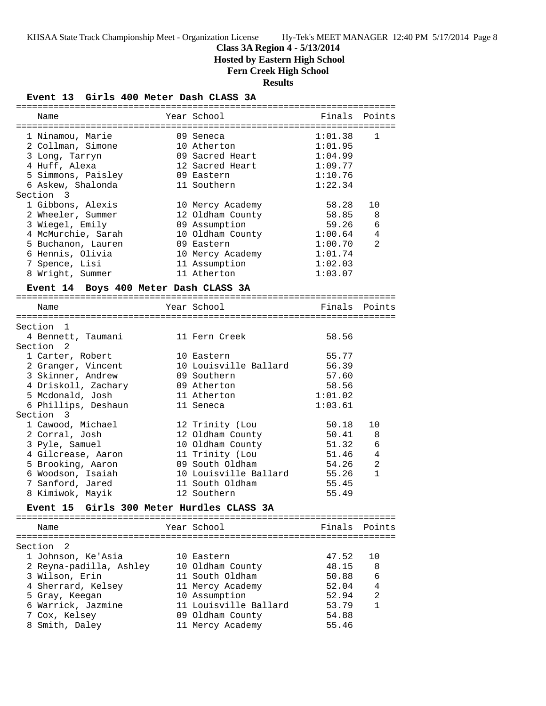## **Class 3A Region 4 - 5/13/2014**

 **Hosted by Eastern High School**

## **Fern Creek High School**

#### **Results**

# **Event 13 Girls 400 Meter Dash CLASS 3A**

| Name                                  | Year School                      |         | Finals Points  |
|---------------------------------------|----------------------------------|---------|----------------|
| 1 Ninamou, Marie                      | 09 Seneca                        | 1:01.38 | $\mathbf{1}$   |
| 2 Collman, Simone                     | 10 Atherton                      | 1:01.95 |                |
| 3 Long, Tarryn                        | 09 Sacred Heart                  | 1:04.99 |                |
| 4 Huff, Alexa                         | 12 Sacred Heart                  | 1:09.77 |                |
| 5 Simmons, Paisley                    | 09 Eastern                       | 1:10.76 |                |
| 6 Askew, Shalonda                     | 11 Southern                      | 1:22.34 |                |
| Section 3                             |                                  |         |                |
| 1 Gibbons, Alexis                     | 10 Mercy Academy                 | 58.28   | 10             |
| 2 Wheeler, Summer                     | 12 Oldham County                 | 58.85   | 8              |
| 3 Wiegel, Emily                       | 09 Assumption                    | 59.26   | 6              |
| 4 McMurchie, Sarah                    | 10 Oldham County                 | 1:00.64 | 4              |
| 5 Buchanon, Lauren                    | 09 Eastern                       | 1:00.70 | 2              |
| 6 Hennis, Olivia                      | 10 Mercy Academy                 | 1:01.74 |                |
| 7 Spence, Lisi                        | 11 Assumption                    | 1:02.03 |                |
| 8 Wright, Summer                      | 11 Atherton                      | 1:03.07 |                |
| Event 14 Boys 400 Meter Dash CLASS 3A |                                  |         |                |
|                                       |                                  |         |                |
| Name                                  | Year School                      | Finals  | Points         |
| Section 1                             |                                  |         |                |
| 4 Bennett, Taumani                    | 11 Fern Creek                    | 58.56   |                |
| Section <sub>2</sub>                  |                                  |         |                |
| 1 Carter, Robert                      | 10 Eastern                       | 55.77   |                |
| 2 Granger, Vincent                    | 10 Louisville Ballard            | 56.39   |                |
| 3 Skinner, Andrew                     | 09 Southern                      | 57.60   |                |
| 4 Driskoll, Zachary                   | 09 Atherton                      | 58.56   |                |
| 5 Mcdonald, Josh                      | 11 Atherton                      | 1:01.02 |                |
| 6 Phillips, Deshaun                   | 11 Seneca                        | 1:03.61 |                |
| Section 3                             |                                  |         |                |
| 1 Cawood, Michael                     | 12 Trinity (Lou                  | 50.18   | 10             |
| 2 Corral, Josh                        | 12 Oldham County                 | 50.41   | 8              |
| 3 Pyle, Samuel                        | 10 Oldham County                 | 51.32   | 6              |
| 4 Gilcrease, Aaron                    | 11 Trinity (Lou                  | 51.46   | $\overline{4}$ |
| 5 Brooking, Aaron                     | 09 South Oldham                  | 54.26   | $\overline{2}$ |
| 6 Woodson, Isaiah                     | 10 Louisville Ballard            | 55.26   | $\mathbf{1}$   |
| 7 Sanford, Jared                      | 11 South Oldham                  | 55.45   |                |
| 8 Kimiwok, Mayik                      | 12 Southern                      | 55.49   |                |
| <b>Event 15</b>                       | Girls 300 Meter Hurdles CLASS 3A |         |                |
| Name                                  | Year School                      | Finals  | Points         |
|                                       |                                  |         |                |
| Section<br>2                          |                                  |         |                |
| 1 Johnson, Ke'Asia                    | 10 Eastern                       | 47.52   | 10             |
| 2 Reyna-padilla, Ashley               | 10 Oldham County                 | 48.15   | 8              |
| 3 Wilson, Erin                        | 11 South Oldham                  | 50.88   | 6              |
| 4 Sherrard, Kelsey                    | 11 Mercy Academy                 | 52.04   | 4              |
| 5 Gray, Keegan                        | 10 Assumption                    | 52.94   | 2              |
| 6 Warrick, Jazmine                    | 11 Louisville Ballard            | 53.79   | 1              |
| 7 Cox, Kelsey                         | 09 Oldham County                 | 54.88   |                |
| 8 Smith, Daley                        | 11 Mercy Academy                 | 55.46   |                |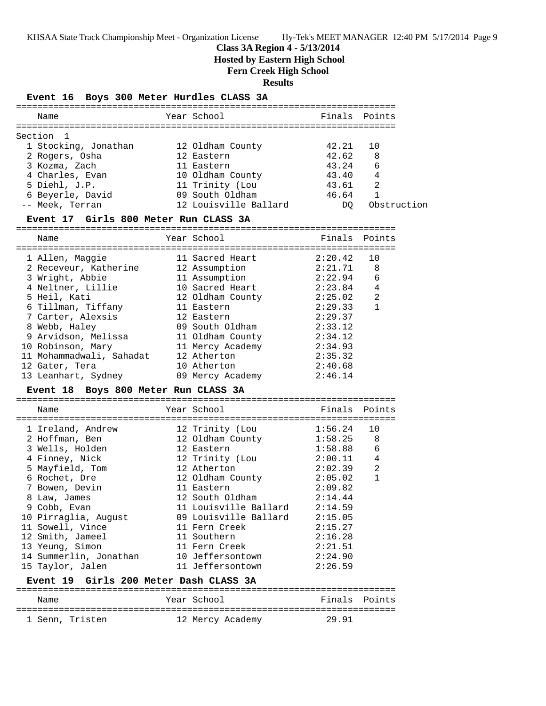#### **Class 3A Region 4 - 5/13/2014**

 **Hosted by Eastern High School**

#### **Fern Creek High School**

**Results**

#### **Event 16 Boys 300 Meter Hurdles CLASS 3A**

| Name                 | Year School           |       | Finals Points |
|----------------------|-----------------------|-------|---------------|
| Section 1            |                       |       |               |
| 1 Stocking, Jonathan | 12 Oldham County      | 42.21 | 10            |
| 2 Rogers, Osha       | 12 Eastern            | 42.62 | 8             |
| 3 Kozma, Zach        | 11 Eastern            | 43.24 | 6             |
| 4 Charles, Evan      | 10 Oldham County      | 43.40 | 4             |
| 5 Diehl, J.P.        | 11 Trinity (Lou       | 43.61 | 2             |
| 6 Beyerle, David     | 09 South Oldham       | 46.64 |               |
| -- Meek, Terran      | 12 Louisville Ballard | DO.   | Obstruction   |
|                      |                       |       |               |

#### **Event 17 Girls 800 Meter Run CLASS 3A**

| Name                     |                                                                                                                        |                                                                                                                                                                                                                                                  |                                                                      |
|--------------------------|------------------------------------------------------------------------------------------------------------------------|--------------------------------------------------------------------------------------------------------------------------------------------------------------------------------------------------------------------------------------------------|----------------------------------------------------------------------|
|                          |                                                                                                                        |                                                                                                                                                                                                                                                  | 10                                                                   |
|                          |                                                                                                                        |                                                                                                                                                                                                                                                  | 8                                                                    |
|                          |                                                                                                                        |                                                                                                                                                                                                                                                  | 6                                                                    |
|                          |                                                                                                                        |                                                                                                                                                                                                                                                  | 4                                                                    |
|                          |                                                                                                                        |                                                                                                                                                                                                                                                  | 2                                                                    |
|                          |                                                                                                                        | 2:29.33                                                                                                                                                                                                                                          | 1                                                                    |
| 7 Carter, Alexsis        |                                                                                                                        | 2:29.37                                                                                                                                                                                                                                          |                                                                      |
| 8 Webb, Haley            |                                                                                                                        | 2:33.12                                                                                                                                                                                                                                          |                                                                      |
| 9 Arvidson, Melissa      |                                                                                                                        | 2:34.12                                                                                                                                                                                                                                          |                                                                      |
| 10 Robinson, Mary        |                                                                                                                        | 2:34.93                                                                                                                                                                                                                                          |                                                                      |
| 11 Mohammadwali, Sahadat |                                                                                                                        | 2:35.32                                                                                                                                                                                                                                          |                                                                      |
| 12 Gater, Tera           |                                                                                                                        | 2:40.68                                                                                                                                                                                                                                          |                                                                      |
| 13 Leanhart, Sydney      |                                                                                                                        | 2:46.14                                                                                                                                                                                                                                          |                                                                      |
|                          | 1 Allen, Maggie<br>2 Receveur, Katherine<br>3 Wright, Abbie<br>4 Neltner, Lillie<br>5 Heil, Kati<br>6 Tillman, Tiffany | Year School<br>11 Sacred Heart<br>12 Assumption<br>11 Assumption<br>10 Sacred Heart<br>12 Oldham County<br>11 Eastern<br>12 Eastern<br>09 South Oldham<br>11 Oldham County<br>11 Mercy Academy<br>12 Atherton<br>10 Atherton<br>09 Mercy Academy | Finals Points<br>2:20.42<br>2:21.71<br>2:22.94<br>2:23.84<br>2:25.02 |

#### **Event 18 Boys 800 Meter Run CLASS 3A**

| Name                   |  | Year School           | Finals Points |                |  |  |  |  |
|------------------------|--|-----------------------|---------------|----------------|--|--|--|--|
|                        |  | ===================== |               |                |  |  |  |  |
| 1 Ireland, Andrew      |  | 12 Trinity (Lou       | 1:56.24       | 10             |  |  |  |  |
| 2 Hoffman, Ben         |  | 12 Oldham County      | 1:58.25       | 8              |  |  |  |  |
| 3 Wells, Holden        |  | 12 Eastern            | 1:58.88       | 6              |  |  |  |  |
| 4 Finney, Nick         |  | 12 Trinity (Lou       | 2:00.11       | $\overline{4}$ |  |  |  |  |
| 5 Mayfield, Tom        |  | 12 Atherton           | 2:02.39       | 2              |  |  |  |  |
| 6 Rochet, Dre          |  | 12 Oldham County      | 2:05.02       | $\mathbf{1}$   |  |  |  |  |
| 7 Bowen, Devin         |  | 11 Eastern            | 2:09.82       |                |  |  |  |  |
| 8 Law, James           |  | 12 South Oldham       | 2:14.44       |                |  |  |  |  |
| 9 Cobb, Evan           |  | 11 Louisville Ballard | 2:14.59       |                |  |  |  |  |
| 10 Pirraglia, August   |  | 09 Louisville Ballard | 2:15.05       |                |  |  |  |  |
| 11 Sowell, Vince       |  | 11 Fern Creek         | 2:15.27       |                |  |  |  |  |
| 12 Smith, Jameel       |  | 11 Southern           | 2:16.28       |                |  |  |  |  |
| 13 Yeung, Simon        |  | 11 Fern Creek         | 2:21.51       |                |  |  |  |  |
| 14 Summerlin, Jonathan |  | 10 Jeffersontown      | 2:24.90       |                |  |  |  |  |
| 15 Taylor, Jalen       |  | 11 Jeffersontown      | 2:26.59       |                |  |  |  |  |
|                        |  |                       |               |                |  |  |  |  |

#### **Event 19 Girls 200 Meter Dash CLASS 3A**

| Name            | Year School      | Finals Points |  |
|-----------------|------------------|---------------|--|
| 1 Senn, Tristen | 12 Mercy Academy | 29.91         |  |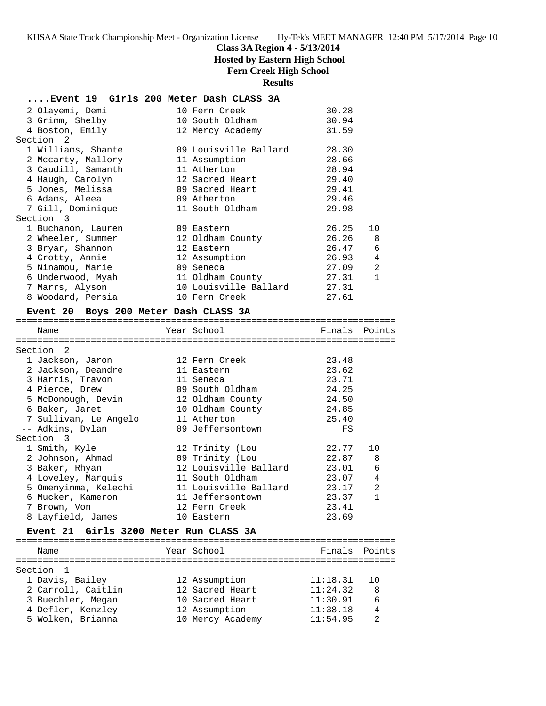## **Class 3A Region 4 - 5/13/2014**

 **Hosted by Eastern High School**

## **Fern Creek High School**

#### **Results**

#### **....Event 19 Girls 200 Meter Dash CLASS 3A**

| 2 Olayemi, Demi    | 10 Fern Creek         | 30.28   |                |
|--------------------|-----------------------|---------|----------------|
| 3 Grimm, Shelby    | 10 South Oldham       | 30.94   |                |
| 4 Boston, Emily    | 12 Mercy Academy      | 31.59   |                |
| Section 2          |                       |         |                |
| 1 Williams, Shante | 09 Louisville Ballard | 28.30   |                |
| 2 Mccarty, Mallory | 11 Assumption         | 28.66   |                |
| 3 Caudill, Samanth | 11 Atherton           | 28.94   |                |
| 4 Haugh, Carolyn   | 12 Sacred Heart       | 29.40   |                |
| 5 Jones, Melissa   | 09 Sacred Heart       | 29.41   |                |
| 6 Adams, Aleea     | 09 Atherton           | 29.46   |                |
| 7 Gill, Dominique  | 11 South Oldham       | 29.98   |                |
| Section 3          |                       |         |                |
| 1 Buchanon, Lauren | 09 Eastern            | 26.25   | 10             |
| 2 Wheeler, Summer  | 12 Oldham County      | 26.26   | 8              |
| 3 Bryar, Shannon   | 12 Eastern            | 26.47 6 |                |
| 4 Crotty, Annie    | 12 Assumption         | 26.93   | $\overline{4}$ |
| 5 Ninamou, Marie   | 09 Seneca             | 27.09   | $\overline{c}$ |
| 6 Underwood, Myah  | 11 Oldham County      | 27.31   | $\mathbf{1}$   |
| 7 Marrs, Alyson    | 10 Louisville Ballard | 27.31   |                |
| 8 Woodard, Persia  | 10 Fern Creek         | 27.61   |                |
|                    |                       |         |                |

#### **Event 20 Boys 200 Meter Dash CLASS 3A**

=======================================================================

|  | Finals                                                                                                                                                                                                                                                                                                              | Points         |
|--|---------------------------------------------------------------------------------------------------------------------------------------------------------------------------------------------------------------------------------------------------------------------------------------------------------------------|----------------|
|  |                                                                                                                                                                                                                                                                                                                     |                |
|  |                                                                                                                                                                                                                                                                                                                     |                |
|  | 23.48                                                                                                                                                                                                                                                                                                               |                |
|  | 23.62                                                                                                                                                                                                                                                                                                               |                |
|  | 23.71                                                                                                                                                                                                                                                                                                               |                |
|  | 24.25                                                                                                                                                                                                                                                                                                               |                |
|  | 24.50                                                                                                                                                                                                                                                                                                               |                |
|  | 24.85                                                                                                                                                                                                                                                                                                               |                |
|  | 25.40                                                                                                                                                                                                                                                                                                               |                |
|  | FS                                                                                                                                                                                                                                                                                                                  |                |
|  |                                                                                                                                                                                                                                                                                                                     |                |
|  | 22.77                                                                                                                                                                                                                                                                                                               | 10             |
|  | 22.87                                                                                                                                                                                                                                                                                                               | - 8            |
|  | 23.01                                                                                                                                                                                                                                                                                                               | 6              |
|  | 23.07                                                                                                                                                                                                                                                                                                               | $\overline{4}$ |
|  | 23.17                                                                                                                                                                                                                                                                                                               | 2              |
|  | 23.37                                                                                                                                                                                                                                                                                                               | $\mathbf{1}$   |
|  | 23.41                                                                                                                                                                                                                                                                                                               |                |
|  | 23.69                                                                                                                                                                                                                                                                                                               |                |
|  | Year School<br>12 Fern Creek<br>11 Eastern<br>11 Seneca<br>09 South Oldham<br>12 Oldham County<br>10 Oldham County<br>11 Atherton<br>09 Jeffersontown<br>12 Trinity (Lou<br>09 Trinity (Lou<br>12 Louisville Ballard<br>11 South Oldham<br>11 Louisville Ballard<br>11 Jeffersontown<br>12 Fern Creek<br>10 Eastern |                |

#### **Event 21 Girls 3200 Meter Run CLASS 3A**

| Name               |  | Year School      | Finals Points |           |
|--------------------|--|------------------|---------------|-----------|
|                    |  |                  |               |           |
| Section 1          |  |                  |               |           |
| 1 Davis, Bailey    |  | 12 Assumption    | 11:18.31      | <u>າດ</u> |
| 2 Carroll, Caitlin |  | 12 Sacred Heart  | 11:24.32      | 8         |
| 3 Buechler, Megan  |  | 10 Sacred Heart  | 11:30.91      | 6         |
| 4 Defler, Kenzley  |  | 12 Assumption    | 11:38.18      | 4         |
| 5 Wolken, Brianna  |  | 10 Mercy Academy | 11:54.95      |           |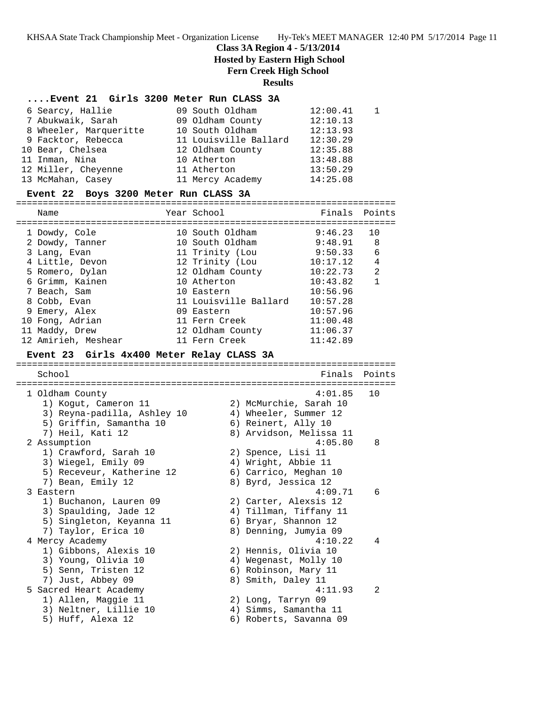# **Class 3A Region 4 - 5/13/2014**

 **Hosted by Eastern High School**

**Fern Creek High School**

#### **Results**

#### **....Event 21 Girls 3200 Meter Run CLASS 3A**

| 6 Searcy, Hallie       | 09 South Oldham       | 12:00.41 |  |
|------------------------|-----------------------|----------|--|
| 7 Abukwaik, Sarah      | 09 Oldham County      | 12:10.13 |  |
| 8 Wheeler, Marqueritte | 10 South Oldham       | 12:13.93 |  |
| 9 Facktor, Rebecca     | 11 Louisville Ballard | 12:30.29 |  |
| 10 Bear, Chelsea       | 12 Oldham County      | 12:35.88 |  |
| 11 Inman, Nina         | 10 Atherton           | 13:48.88 |  |
| 12 Miller, Cheyenne    | 11 Atherton           | 13:50.29 |  |
| 13 McMahan, Casey      | 11 Mercy Academy      | 14:25.08 |  |

#### **Event 22 Boys 3200 Meter Run CLASS 3A**

======================================================================= Name The Year School Team Points Points ======================================================================= 1 Dowdy, Cole 10 South Oldham 9:46.23 10 2 Dowdy, Tanner 10 South Oldham 9:48.91 8 3 Lang, Evan 11 Trinity (Lou 9:50.33 6 4 Little, Devon 12 Trinity (Lou 10:17.12 4 5 Romero, Dylan 12 Oldham County 10:22.73 2 6 Grimm, Kainen 10 Atherton 10:43.82 1 7 Beach, Sam 10 Eastern 10:56.96 8 Cobb, Evan 11 Louisville Ballard 10:57.28 9 Emery, Alex 09 Eastern 10:57.96 10 Fong, Adrian 11 Fern Creek 11:00.48 11 Maddy, Drew 12 Oldham County 11:06.37 12 Amirieh, Meshear 11 Fern Creek 11:42.89

#### **Event 23 Girls 4x400 Meter Relay CLASS 3A**

======================================================================= School **Finals Points** ======================================================================= 1 Oldham County 4:01.85 10 1) Kogut, Cameron 11 2) McMurchie, Sarah 10 3) Reyna-padilla, Ashley 10 4) Wheeler, Summer 12 5) Griffin, Samantha 10 (6) Reinert, Ally 10 7) Heil, Kati 12 8) Arvidson, Melissa 11 2 Assumption 4:05.80 8 1) Crawford, Sarah 10 (2) 2) Spence, Lisi 11 3) Wiegel, Emily 09 4) Wright, Abbie 11 5) Receveur, Katherine 12 6) Carrico, Meghan 10 7) Bean, Emily 12 8) Byrd, Jessica 12 3 Eastern 4:09.71 6 1) Buchanon, Lauren 09 2) Carter, Alexsis 12 3) Spaulding, Jade 12 4) Tillman, Tiffany 11 5) Singleton, Keyanna 11 6) Bryar, Shannon 12 7) Taylor, Erica 10 8) Denning, Jumyia 09 4 Mercy Academy 4:10.22 4 1) Gibbons, Alexis 10 2) Hennis, Olivia 10 3) Young, Olivia 10 4) Wegenast, Molly 10 5) Senn, Tristen 12 (6) Robinson, Mary 11 7) Just, Abbey 09 8) Smith, Daley 11 5 Sacred Heart Academy 4:11.93 2 1) Allen, Maggie 11 2) Long, Tarryn 09 3) Neltner, Lillie 10 4) Simms, Samantha 11 5) Huff, Alexa 12 6) Roberts, Savanna 09